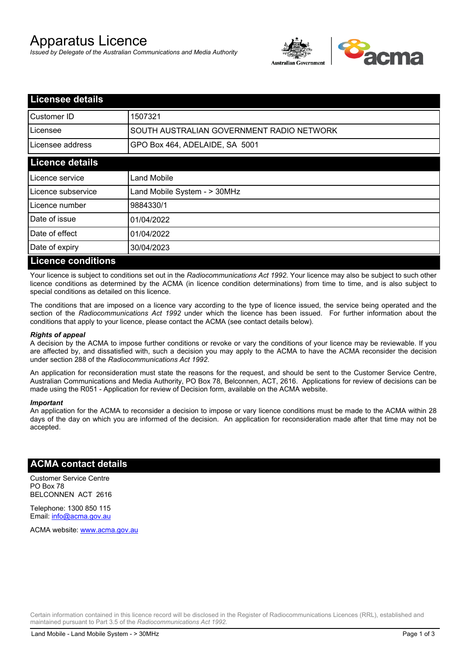# Apparatus Licence

*Issued by Delegate of the Australian Communications and Media Authority*



| <b>Licensee details</b>   |                                           |
|---------------------------|-------------------------------------------|
| <b>Customer ID</b>        | 1507321                                   |
| Licensee                  | SOUTH AUSTRALIAN GOVERNMENT RADIO NETWORK |
| Licensee address          | GPO Box 464, ADELAIDE, SA 5001            |
| <b>Licence details</b>    |                                           |
| Licence service           | Land Mobile                               |
| Licence subservice        | Land Mobile System - > 30MHz              |
| Licence number            | 9884330/1                                 |
| Date of issue             | 01/04/2022                                |
| Date of effect            | 01/04/2022                                |
| Date of expiry            | 30/04/2023                                |
| <b>Licence conditions</b> |                                           |

Your licence is subject to conditions set out in the *Radiocommunications Act 1992*. Your licence may also be subject to such other licence conditions as determined by the ACMA (in licence condition determinations) from time to time, and is also subject to special conditions as detailed on this licence.

The conditions that are imposed on a licence vary according to the type of licence issued, the service being operated and the section of the *Radiocommunications Act 1992* under which the licence has been issued. For further information about the conditions that apply to your licence, please contact the ACMA (see contact details below).

#### *Rights of appeal*

A decision by the ACMA to impose further conditions or revoke or vary the conditions of your licence may be reviewable. If you are affected by, and dissatisfied with, such a decision you may apply to the ACMA to have the ACMA reconsider the decision under section 288 of the *Radiocommunications Act 1992*.

An application for reconsideration must state the reasons for the request, and should be sent to the Customer Service Centre, Australian Communications and Media Authority, PO Box 78, Belconnen, ACT, 2616. Applications for review of decisions can be made using the R051 - Application for review of Decision form, available on the ACMA website.

#### *Important*

An application for the ACMA to reconsider a decision to impose or vary licence conditions must be made to the ACMA within 28 days of the day on which you are informed of the decision. An application for reconsideration made after that time may not be accepted.

#### **ACMA contact details**

Customer Service Centre PO Box 78 BELCONNEN ACT 2616

Telephone: 1300 850 115 Email: info@acma.gov.au

ACMA website: www.acma.gov.au

Certain information contained in this licence record will be disclosed in the Register of Radiocommunications Licences (RRL), established and maintained pursuant to Part 3.5 of the *Radiocommunications Act 1992.*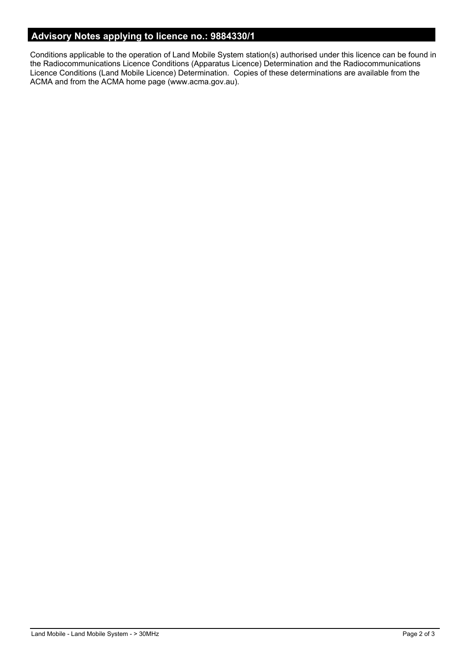## **Advisory Notes applying to licence no.: 9884330/1**

Conditions applicable to the operation of Land Mobile System station(s) authorised under this licence can be found in the Radiocommunications Licence Conditions (Apparatus Licence) Determination and the Radiocommunications Licence Conditions (Land Mobile Licence) Determination. Copies of these determinations are available from the ACMA and from the ACMA home page (www.acma.gov.au).